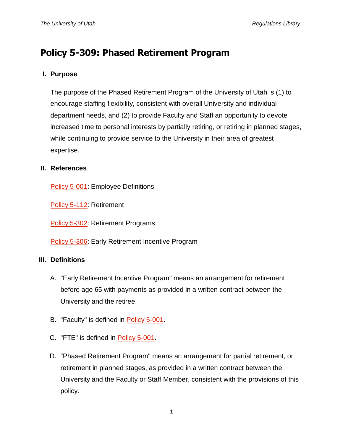# **Policy 5-309: Phased Retirement Program**

## **I. Purpose**

The purpose of the Phased Retirement Program of the University of Utah is (1) to encourage staffing flexibility, consistent with overall University and individual department needs, and (2) to provide Faculty and Staff an opportunity to devote increased time to personal interests by partially retiring, or retiring in planned stages, while continuing to provide service to the University in their area of greatest expertise.

#### **II. References**

[Policy 5-001:](http://regulations.utah.edu/human-resources/5-001.php) Employee Definitions

[Policy 5-112:](http://regulations.utah.edu/human-resources/5-112.php) Retirement

[Policy 5-302:](http://regulations.utah.edu/human-resources/5-302.php) Retirement Programs

[Policy 5-306:](http://regulations.utah.edu/human-resources/5-306.php) Early Retirement Incentive Program

## **III. Definitions**

- A. "Early Retirement Incentive Program" means an arrangement for retirement before age 65 with payments as provided in a written contract between the University and the retiree.
- B. "Faculty" is defined in [Policy 5-001.](http://regulations.utah.edu/human-resources/5-001.php)
- C. "FTE" is defined in [Policy 5-001.](http://regulations.utah.edu/human-resources/5-001.php)
- D. "Phased Retirement Program" means an arrangement for partial retirement, or retirement in planned stages, as provided in a written contract between the University and the Faculty or Staff Member, consistent with the provisions of this policy.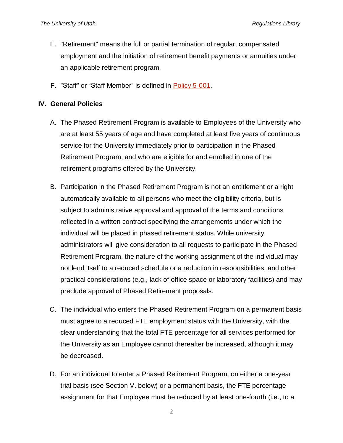- E. "Retirement" means the full or partial termination of regular, compensated employment and the initiation of retirement benefit payments or annuities under an applicable retirement program.
- F. "Staff" or "Staff Member" is defined in [Policy 5-001.](http://regulations.utah.edu/human-resources/5-001.php)

#### **IV. General Policies**

- A. The Phased Retirement Program is available to Employees of the University who are at least 55 years of age and have completed at least five years of continuous service for the University immediately prior to participation in the Phased Retirement Program, and who are eligible for and enrolled in one of the retirement programs offered by the University.
- B. Participation in the Phased Retirement Program is not an entitlement or a right automatically available to all persons who meet the eligibility criteria, but is subject to administrative approval and approval of the terms and conditions reflected in a written contract specifying the arrangements under which the individual will be placed in phased retirement status. While university administrators will give consideration to all requests to participate in the Phased Retirement Program, the nature of the working assignment of the individual may not lend itself to a reduced schedule or a reduction in responsibilities, and other practical considerations (e.g., lack of office space or laboratory facilities) and may preclude approval of Phased Retirement proposals.
- C. The individual who enters the Phased Retirement Program on a permanent basis must agree to a reduced FTE employment status with the University, with the clear understanding that the total FTE percentage for all services performed for the University as an Employee cannot thereafter be increased, although it may be decreased.
- D. For an individual to enter a Phased Retirement Program, on either a one-year trial basis (see Section V. below) or a permanent basis, the FTE percentage assignment for that Employee must be reduced by at least one-fourth (i.e., to a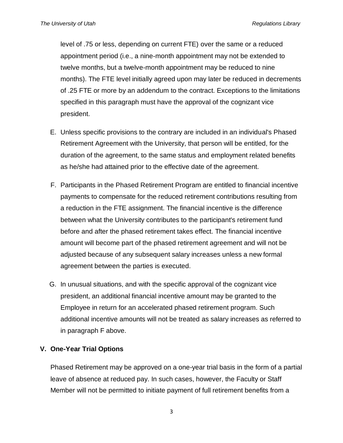level of .75 or less, depending on current FTE) over the same or a reduced appointment period (i.e., a nine-month appointment may not be extended to twelve months, but a twelve-month appointment may be reduced to nine months). The FTE level initially agreed upon may later be reduced in decrements of .25 FTE or more by an addendum to the contract. Exceptions to the limitations specified in this paragraph must have the approval of the cognizant vice president.

- E. Unless specific provisions to the contrary are included in an individual's Phased Retirement Agreement with the University, that person will be entitled, for the duration of the agreement, to the same status and employment related benefits as he/she had attained prior to the effective date of the agreement.
- F. Participants in the Phased Retirement Program are entitled to financial incentive payments to compensate for the reduced retirement contributions resulting from a reduction in the FTE assignment. The financial incentive is the difference between what the University contributes to the participant's retirement fund before and after the phased retirement takes effect. The financial incentive amount will become part of the phased retirement agreement and will not be adjusted because of any subsequent salary increases unless a new formal agreement between the parties is executed.
- G. In unusual situations, and with the specific approval of the cognizant vice president, an additional financial incentive amount may be granted to the Employee in return for an accelerated phased retirement program. Such additional incentive amounts will not be treated as salary increases as referred to in paragraph F above.

## **V. One-Year Trial Options**

Phased Retirement may be approved on a one-year trial basis in the form of a partial leave of absence at reduced pay. In such cases, however, the Faculty or Staff Member will not be permitted to initiate payment of full retirement benefits from a

3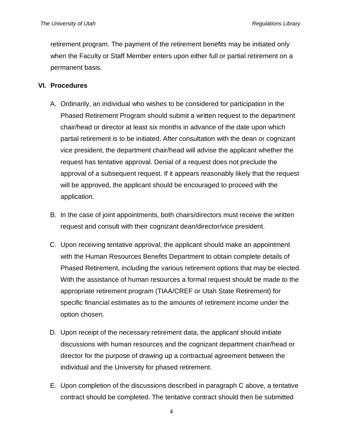retirement program. The payment of the retirement benefits may be initiated only when the Faculty or Staff Member enters upon either full or partial retirement on a permanent basis.

#### **VI. Procedures**

- A. Ordinarily, an individual who wishes to be considered for participation in the Phased Retirement Program should submit a written request to the department chair/head or director at least six months in advance of the date upon which partial retirement is to be initiated. After consultation with the dean or cognizant vice president, the department chair/head will advise the applicant whether the request has tentative approval. Denial of a request does not preclude the approval of a subsequent request. If it appears reasonably likely that the request will be approved, the applicant should be encouraged to proceed with the application.
- B. In the case of joint appointments, both chairs/directors must receive the written request and consult with their cognizant dean/director/vice president.
- C. Upon receiving tentative approval, the applicant should make an appointment with the Human Resources Benefits Department to obtain complete details of Phased Retirement, including the various retirement options that may be elected. With the assistance of human resources a formal request should be made to the appropriate retirement program (TIAA/CREF or Utah State Retirement) for specific financial estimates as to the amounts of retirement income under the option chosen.
- D. Upon receipt of the necessary retirement data, the applicant should initiate discussions with human resources and the cognizant department chair/head or director for the purpose of drawing up a contractual agreement between the individual and the University for phased retirement.
- E. Upon completion of the discussions described in paragraph C above, a tentative contract should be completed. The tentative contract should then be submitted